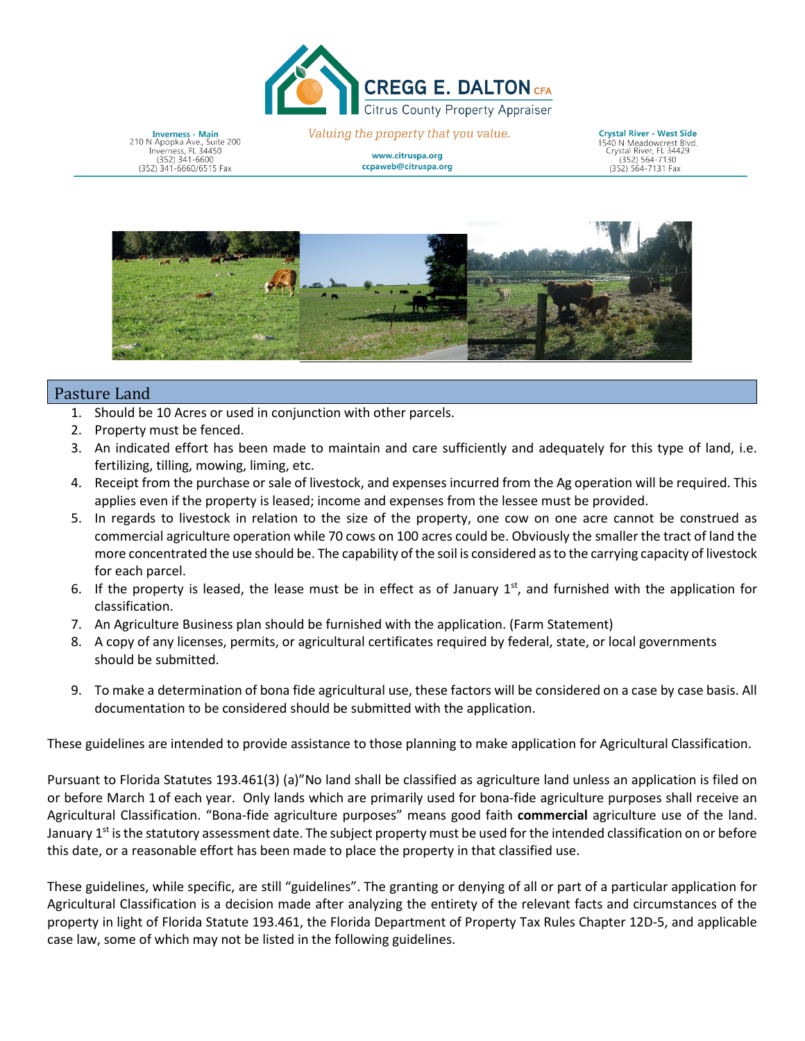

**Inverness - Main**<br>210 N Apopka Ave., Suite 200<br>Inverness, FL 34450<br>(352) 341-6600 (352) 341-6660/6515 Fax

Valuing the property that you value.

www.citruspa.org ccpaweb@citruspa.org

**Crystal River - West Side Crystal River - West Side**<br>1540 N Meadowcrest Blvd.<br>Crystal River, FL 34429<br>(253) 564, 7120  $\frac{1}{352}$ ) 564-7130 (352) 564-7131 Fax



## Pasture Land

- 1. Should be 10 Acres or used in conjunction with other parcels.
- 2. Property must be fenced.
- 3. An indicated effort has been made to maintain and care sufficiently and adequately for this type of land, i.e. fertilizing, tilling, mowing, liming, etc.
- 4. Receipt from the purchase or sale of livestock, and expenses incurred from the Ag operation will be required. This applies even if the property is leased; income and expenses from the lessee must be provided.
- 5. In regards to livestock in relation to the size of the property, one cow on one acre cannot be construed as commercial agriculture operation while 70 cows on 100 acres could be. Obviously the smaller the tract of land the more concentrated the use should be. The capability of the soil is considered as to the carrying capacity of livestock for each parcel.
- 6. If the property is leased, the lease must be in effect as of January  $1<sup>st</sup>$ , and furnished with the application for classification.
- 7. An Agriculture Business plan should be furnished with the application. (Farm Statement)
- 8. A copy of any licenses, permits, or agricultural certificates required by federal, state, or local governments should be submitted.
- 9. To make a determination of bona fide agricultural use, these factors will be considered on a case by case basis. All documentation to be considered should be submitted with the application.

These guidelines are intended to provide assistance to those planning to make application for Agricultural Classification.

Pursuant to Florida Statutes 193.461(3) (a)"No land shall be classified as agriculture land unless an application is filed on or before March 1 of each year. Only lands which are primarily used for bona-fide agriculture purposes shall receive an Agricultural Classification. "Bona-fide agriculture purposes" means good faith **commercial** agriculture use of the land. January 1<sup>st</sup> is the statutory assessment date. The subject property must be used for the intended classification on or before this date, or a reasonable effort has been made to place the property in that classified use.

These guidelines, while specific, are still "guidelines". The granting or denying of all or part of a particular application for Agricultural Classification is a decision made after analyzing the entirety of the relevant facts and circumstances of the property in light of Florida Statute 193.461, the Florida Department of Property Tax Rules Chapter 12D-5, and applicable case law, some of which may not be listed in the following guidelines.